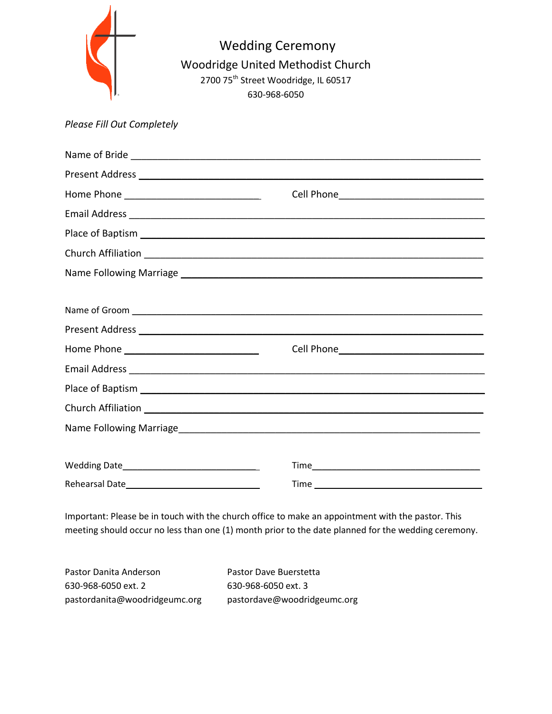| Please Fill Out Completely                                                                                     | <b>Wedding Ceremony</b><br>Woodridge United Methodist Church<br>2700 75 <sup>th</sup> Street Woodridge, IL 60517<br>630-968-6050 |
|----------------------------------------------------------------------------------------------------------------|----------------------------------------------------------------------------------------------------------------------------------|
|                                                                                                                |                                                                                                                                  |
|                                                                                                                |                                                                                                                                  |
|                                                                                                                |                                                                                                                                  |
|                                                                                                                |                                                                                                                                  |
|                                                                                                                |                                                                                                                                  |
|                                                                                                                |                                                                                                                                  |
|                                                                                                                |                                                                                                                                  |
|                                                                                                                |                                                                                                                                  |
|                                                                                                                |                                                                                                                                  |
|                                                                                                                | Present Address <b>Manual Address Manual Address of Address Contract Contract Address</b>                                        |
| Home Phone 2008 2009 2010 2021 2022 2023 2024 2022 2023 2024 2022 2023 2024 2022 2023 2024 2025 2026 2027 2028 |                                                                                                                                  |
|                                                                                                                |                                                                                                                                  |
|                                                                                                                |                                                                                                                                  |
|                                                                                                                | Church Affiliation Church Church Affiliation                                                                                     |
|                                                                                                                |                                                                                                                                  |
|                                                                                                                |                                                                                                                                  |
|                                                                                                                |                                                                                                                                  |
|                                                                                                                |                                                                                                                                  |

Important: Please be in touch with the church office to make an appointment with the pastor. This meeting should occur no less than one (1) month prior to the date planned for the wedding ceremony.

| Pastor Danita Anderson        | Pastor Dave Buerstetta      |
|-------------------------------|-----------------------------|
| 630-968-6050 ext. 2           | 630-968-6050 ext. 3         |
| pastordanita@woodridgeumc.org | pastordave@woodridgeumc.org |